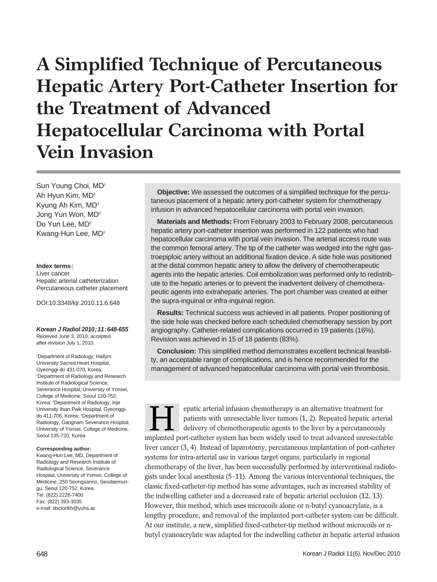# **A Simplified Technique of Percutaneous Hepatic Artery Port-Catheter Insertion for the Treatment of Advanced Hepatocellular Carcinoma with Portal Vein Invasion**

Sun Young Choi, MD1 Ah Hyun Kim, MD2 Kyung Ah Kim, MD3 Jong Yun Won, MD4 Do Yun Lee, MD<sup>2</sup> Kwang-Hun Lee, MD2

#### **Index terms:**

Liver cancer Hepatic arterial catheterization Percutaneous catheter placement

DOI:10.3348/kjr.2010.11.6.648

**Korean J Radiol 2010;11:648-655** Received June 3, 2010; accepted after revision July 1, 2010.

1 Department of Radiology, Hallym University Sacred Heart Hospital, Gyeonggi-do 431-070, Korea; 2 Department of Radiology and Research Institute of Radiological Science, Severance Hospital, University of Yonsei, College of Medicine, Seoul 120-752, Korea; <sup>3</sup>Department of Radiology, Inje University Ilsan Paik Hospital, Gyeonggido 411-706, Korea; 4 Department of Radiology, Gangnam Severance Hospital, University of Yonsei, College of Medicine, Seoul 135-720, Korea

#### **Corresponding author:**

Kwang-Hun Lee, MD, Department of Radiology and Research Institute of Radiological Science, Severance Hospital, University of Yonsei, College of Medicine, 250 Seongsanno, Seodaemungu, Seoul 120-752, Korea. Tel. (822) 2228-7400 Fax. (822) 393-3035 e-mail: doctorlkh@yuhs.ac

**Objective:** We assessed the outcomes of a simplified technique for the percutaneous placement of a hepatic artery port-catheter system for chemotherapy infusion in advanced hepatocellular carcinoma with portal vein invasion.

**Materials and Methods:** From February 2003 to February 2008, percutaneous hepatic artery port-catheter insertion was performed in 122 patients who had hepatocellular carcinoma with portal vein invasion. The arterial access route was the common femoral artery. The tip of the catheter was wedged into the right gastroepiploic artery without an additional fixation device. A side hole was positioned at the distal common hepatic artery to allow the delivery of chemotherapeutic agents into the hepatic arteries. Coil embolization was performed only to redistribute to the hepatic arteries or to prevent the inadvertent delivery of chemotherapeutic agents into extrahepatic arteries. The port chamber was created at either the supra-inguinal or infra-inguinal region.

**Results:** Technical success was achieved in all patients. Proper positioning of the side hole was checked before each scheduled chemotherapy session by port angiography. Catheter-related complications occurred in 19 patients (16%). Revision was achieved in 15 of 18 patients (83%).

**Conclusion:** This simplified method demonstrates excellent technical feasibility, an acceptable range of complications, and is hence recommended for the management of advanced hepatocellular carcinoma with portal vein thrombosis.

epatic arterial infusion chemotherapy is an alternative treatment for patients with unresectable liver tumors (1, 2). Repeated hepatic arterial delivery of chemotherapeutic agents to the liver by a percutaneously Figure 2.1 The patic arterial infusion chemotherapy is an alternative treatment for patients with unresectable liver tumors (1, 2). Repeated hepatic arterial delivery of chemotherapeutic agents to the liver by a percutaneo liver cancer (3, 4). Instead of laparotomy, percutaneous implantation of port-catheter systems for intra-arterial use in various target organs, particularly in regional chemotherapy of the liver, has been successfully performed by interventional radiologists under local anesthesia (5-11). Among the various interventional techniques, the classic fixed-catheter-tip method has some advantages, such as increased stability of the indwelling catheter and a decreased rate of hepatic arterial occlusion (12, 13). However, this method, which uses microcoils alone or n-butyl cyanoacrylate, is a lengthy procedure, and removal of the implanted port-catheter system can be difficult. At our institute, a new, simplified fixed-catheter-tip method without microcoils or nbutyl cyanoacrylate was adapted for the indwelling catheter in hepatic arterial infusion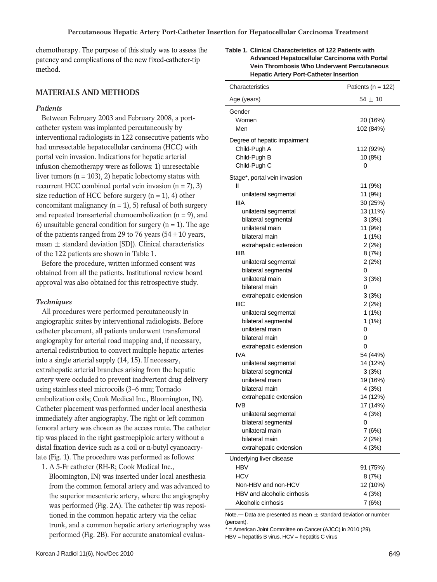chemotherapy. The purpose of this study was to assess the patency and complications of the new fixed-catheter-tip method.

## **MATERIALS AND METHODS**

#### *Patients*

Between February 2003 and February 2008, a portcatheter system was implanted percutaneously by interventional radiologists in 122 consecutive patients who had unresectable hepatocellular carcinoma (HCC) with portal vein invasion. Indications for hepatic arterial infusion chemotherapy were as follows: 1) unresectable liver tumors ( $n = 103$ ), 2) hepatic lobectomy status with recurrent HCC combined portal vein invasion  $(n = 7)$ , 3) size reduction of HCC before surgery  $(n = 1)$ , 4) other concomitant malignancy  $(n = 1)$ , 5) refusal of both surgery and repeated transarterial chemoembolization  $(n = 9)$ , and 6) unsuitable general condition for surgery  $(n = 1)$ . The age of the patients ranged from 29 to 76 years ( $54 \pm 10$  years, mean  $\pm$  standard deviation [SD]). Clinical characteristics of the 122 patients are shown in Table 1.

Before the procedure, written informed consent was obtained from all the patients. Institutional review board approval was also obtained for this retrospective study.

#### *Techniques*

All procedures were performed percutaneously in angiographic suites by interventional radiologists. Before catheter placement, all patients underwent transfemoral angiography for arterial road mapping and, if necessary, arterial redistribution to convert multiple hepatic arteries into a single arterial supply (14, 15). If necessary, extrahepatic arterial branches arising from the hepatic artery were occluded to prevent inadvertent drug delivery using stainless steel microcoils (3-6 mm; Tornado embolization coils; Cook Medical Inc., Bloomington, IN). Catheter placement was performed under local anesthesia immediately after angiography. The right or left common femoral artery was chosen as the access route. The catheter tip was placed in the right gastroepiploic artery without a distal fixation device such as a coil or n-butyl cyanoacrylate (Fig. 1). The procedure was performed as follows:

1. A 5-Fr catheter (RH-R; Cook Medical Inc., Bloomington, IN) was inserted under local anesthesia from the common femoral artery and was advanced to the superior mesenteric artery, where the angiography was performed (Fig. 2A). The catheter tip was repositioned in the common hepatic artery via the celiac trunk, and a common hepatic artery arteriography was performed (Fig. 2B). For accurate anatomical evalua**Table 1. Clinical Characteristics of 122 Patients with Advanced Hepatocellular Carcinoma with Portal Vein Thrombosis Who Underwent Percutaneous Hepatic Artery Port-Catheter Insertion**

| Characteristics                        | Patients ( $n = 122$ ) |
|----------------------------------------|------------------------|
| Age (years)                            | $54 \pm 10$            |
| Gender                                 |                        |
| Women                                  | 20 (16%)               |
| Men                                    | 102 (84%)              |
| Degree of hepatic impairment           |                        |
| Child-Pugh A                           | 112 (92%)              |
| Child-Pugh B                           | 10 (8%)                |
| Child-Pugh C                           | 0                      |
|                                        |                        |
| Stage*, portal vein invasion           |                        |
| Ш                                      | 11 (9%)                |
| unilateral segmental<br><b>IIIA</b>    | 11 (9%)                |
|                                        | 30 (25%)               |
| unilateral segmental                   | 13 (11%)               |
| bilateral segmental<br>unilateral main | 3(3%)                  |
| bilateral main                         | 11 (9%)                |
|                                        | 1(1%)                  |
| extrahepatic extension<br>ШB           | 2(2%)<br>8(7%)         |
| unilateral segmental                   | 2(2%)                  |
| bilateral segmental                    | 0                      |
| unilateral main                        | 3(3%)                  |
| bilateral main                         | 0                      |
| extrahepatic extension                 | 3(3%)                  |
| IIIC                                   | 2(2%)                  |
| unilateral segmental                   | 1(1%)                  |
| bilateral segmental                    | 1(1%)                  |
| unilateral main                        | 0                      |
| bilateral main                         | 0                      |
| extrahepatic extension                 | 0                      |
| IVA                                    | 54 (44%)               |
| unilateral segmental                   | 14 (12%)               |
| bilateral segmental                    | 3(3%)                  |
| unilateral main                        | 19 (16%)               |
| bilateral main                         | 4(3%)                  |
| extrahepatic extension                 | 14 (12%)               |
| <b>IVB</b>                             | 17 (14%)               |
| unilateral segmental                   | 4(3%)                  |
| bilateral segmental                    | 0                      |
| unilateral main                        | 7(6%)                  |
| bilateral main                         | 2(2%)                  |
| extrahepatic extension                 | 4(3%)                  |
| Underlying liver disease               |                        |
| <b>HBV</b>                             | 91 (75%)               |
| <b>HCV</b>                             | 8(7%)                  |
| Non-HBV and non-HCV                    | 12 (10%)               |
| HBV and alcoholic cirrhosis            | 4(3%)                  |
| Alcoholic cirrhosis                    | 7(6%)                  |
|                                        |                        |

Note. $-$  Data are presented as mean  $\pm$  standard deviation or number (percent).

\* = American Joint Committee on Cancer (AJCC) in 2010 (29).

 $HBV = hep$ atitis B virus,  $HCV = hep$ atitis C virus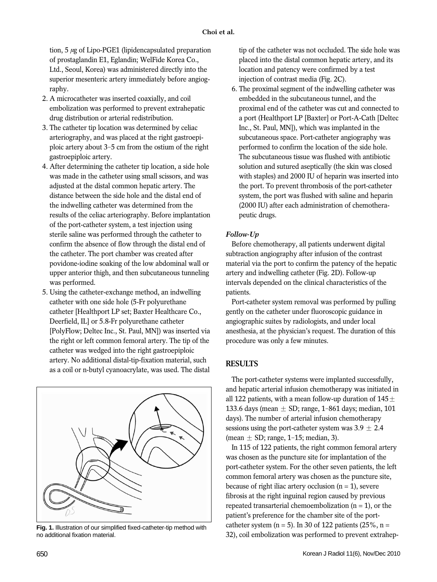tion,  $5 \mu$ g of Lipo-PGE1 (lipidencapsulated preparation of prostaglandin E1, Eglandin; WelFide Korea Co., Ltd., Seoul, Korea) was administered directly into the superior mesenteric artery immediately before angiography.

- 2. A microcatheter was inserted coaxially, and coil embolization was performed to prevent extrahepatic drug distribution or arterial redistribution.
- 3. The catheter tip location was determined by celiac arteriography, and was placed at the right gastroepiploic artery about 3-5 cm from the ostium of the right gastroepiploic artery.
- 4. After determining the catheter tip location, a side hole was made in the catheter using small scissors, and was adjusted at the distal common hepatic artery. The distance between the side hole and the distal end of the indwelling catheter was determined from the results of the celiac arteriography. Before implantation of the port-catheter system, a test injection using sterile saline was performed through the catheter to confirm the absence of flow through the distal end of the catheter. The port chamber was created after povidone-iodine soaking of the low abdominal wall or upper anterior thigh, and then subcutaneous tunneling was performed.
- 5. Using the catheter-exchange method, an indwelling catheter with one side hole (5-Fr polyurethane catheter [Healthport LP set; Baxter Healthcare Co., Deerfield, IL] or 5.8-Fr polyurethane catheter [PolyFlow; Deltec Inc., St. Paul, MN]) was inserted via the right or left common femoral artery. The tip of the catheter was wedged into the right gastroepiploic artery. No additional distal-tip-fixation material, such as a coil or n-butyl cyanoacrylate, was used. The distal



**Fig. 1.** Illustration of our simplified fixed-catheter-tip method with no additional fixation material.

tip of the catheter was not occluded. The side hole was placed into the distal common hepatic artery, and its location and patency were confirmed by a test injection of contrast media (Fig. 2C).

6. The proximal segment of the indwelling catheter was embedded in the subcutaneous tunnel, and the proximal end of the catheter was cut and connected to a port (Healthport LP [Baxter] or Port-A-Cath [Deltec Inc., St. Paul, MN]), which was implanted in the subcutaneous space. Port-catheter angiography was performed to confirm the location of the side hole. The subcutaneous tissue was flushed with antibiotic solution and sutured aseptically (the skin was closed with staples) and 2000 IU of heparin was inserted into the port. To prevent thrombosis of the port-catheter system, the port was flushed with saline and heparin (2000 IU) after each administration of chemotherapeutic drugs.

## *Follow-Up*

Before chemotherapy, all patients underwent digital subtraction angiography after infusion of the contrast material via the port to confirm the patency of the hepatic artery and indwelling catheter (Fig. 2D). Follow-up intervals depended on the clinical characteristics of the patients.

Port-catheter system removal was performed by pulling gently on the catheter under fluoroscopic guidance in angiographic suites by radiologists, and under local anesthesia, at the physician's request. The duration of this procedure was only a few minutes.

## **RESULTS**

The port-catheter systems were implanted successfully, and hepatic arterial infusion chemotherapy was initiated in all 122 patients, with a mean follow-up duration of  $145\pm$ 133.6 days (mean  $\pm$  SD; range, 1-861 days; median, 101 days). The number of arterial infusion chemotherapy sessions using the port-catheter system was  $3.9 \pm 2.4$ (mean  $\pm$  SD; range, 1-15; median, 3).

In 115 of 122 patients, the right common femoral artery was chosen as the puncture site for implantation of the port-catheter system. For the other seven patients, the left common femoral artery was chosen as the puncture site, because of right iliac artery occlusion  $(n = 1)$ , severe fibrosis at the right inguinal region caused by previous repeated transarterial chemoembolization  $(n = 1)$ , or the patient's preference for the chamber site of the portcatheter system ( $n = 5$ ). In 30 of 122 patients (25%,  $n =$ 32), coil embolization was performed to prevent extrahep-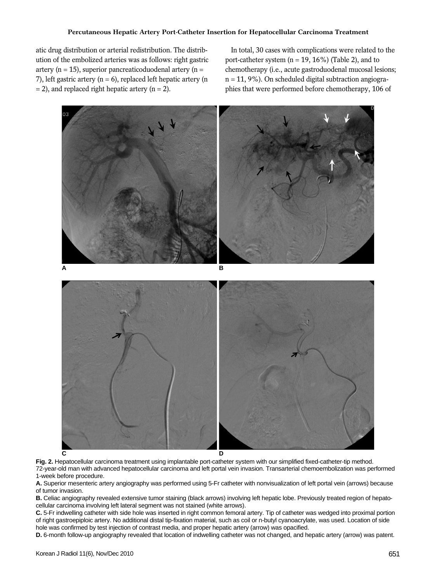atic drug distribution or arterial redistribution. The distribution of the embolized arteries was as follows: right gastric artery ( $n = 15$ ), superior pancreaticoduodenal artery ( $n =$ 7), left gastric artery ( $n = 6$ ), replaced left hepatic artery ( $n = 6$ )  $= 2$ ), and replaced right hepatic artery (n = 2).

In total, 30 cases with complications were related to the port-catheter system  $(n = 19, 16\%)$  (Table 2), and to chemotherapy (i.e., acute gastroduodenal mucosal lesions;  $n = 11, 9\%$ ). On scheduled digital subtraction angiographies that were performed before chemotherapy, 106 of



**Fig. 2.** Hepatocellular carcinoma treatment using implantable port-catheter system with our simplified fixed-catheter-tip method. 72-year-old man with advanced hepatocellular carcinoma and left portal vein invasion. Transarterial chemoembolization was performed 1-week before procedure.

**A.** Superior mesenteric artery angiography was performed using 5-Fr catheter with nonvisualization of left portal vein (arrows) because of tumor invasion.

**B.** Celiac angiography revealed extensive tumor staining (black arrows) involving left hepatic lobe. Previously treated region of hepatocellular carcinoma involving left lateral segment was not stained (white arrows).

**C.** 5-Fr indwelling catheter with side hole was inserted in right common femoral artery. Tip of catheter was wedged into proximal portion of right gastroepiploic artery. No additional distal tip-fixation material, such as coil or n-butyl cyanoacrylate, was used. Location of side hole was confirmed by test injection of contrast media, and proper hepatic artery (arrow) was opacified.

**D.** 6-month follow-up angiography revealed that location of indwelling catheter was not changed, and hepatic artery (arrow) was patent.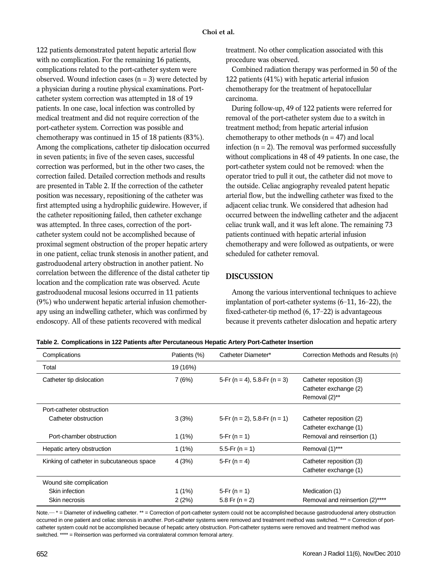122 patients demonstrated patent hepatic arterial flow with no complication. For the remaining 16 patients, complications related to the port-catheter system were observed. Wound infection cases  $(n = 3)$  were detected by a physician during a routine physical examinations. Portcatheter system correction was attempted in 18 of 19 patients. In one case, local infection was controlled by medical treatment and did not require correction of the port-catheter system. Correction was possible and chemotherapy was continued in 15 of 18 patients (83%). Among the complications, catheter tip dislocation occurred in seven patients; in five of the seven cases, successful correction was performed, but in the other two cases, the correction failed. Detailed correction methods and results are presented in Table 2. If the correction of the catheter position was necessary, repositioning of the catheter was first attempted using a hydrophilic guidewire. However, if the catheter repositioning failed, then catheter exchange was attempted. In three cases, correction of the portcatheter system could not be accomplished because of proximal segment obstruction of the proper hepatic artery in one patient, celiac trunk stenosis in another patient, and gastroduodenal artery obstruction in another patient. No correlation between the difference of the distal catheter tip location and the complication rate was observed. Acute gastroduodenal mucosal lesions occurred in 11 patients (9%) who underwent hepatic arterial infusion chemotherapy using an indwelling catheter, which was confirmed by endoscopy. All of these patients recovered with medical

treatment. No other complication associated with this procedure was observed.

Combined radiation therapy was performed in 50 of the 122 patients (41%) with hepatic arterial infusion chemotherapy for the treatment of hepatocellular carcinoma.

During follow-up, 49 of 122 patients were referred for removal of the port-catheter system due to a switch in treatment method; from hepatic arterial infusion chemotherapy to other methods  $(n = 47)$  and local infection  $(n = 2)$ . The removal was performed successfully without complications in 48 of 49 patients. In one case, the port-catheter system could not be removed: when the operator tried to pull it out, the catheter did not move to the outside. Celiac angiography revealed patent hepatic arterial flow, but the indwelling catheter was fixed to the adjacent celiac trunk. We considered that adhesion had occurred between the indwelling catheter and the adjacent celiac trunk wall, and it was left alone. The remaining 73 patients continued with hepatic arterial infusion chemotherapy and were followed as outpatients, or were scheduled for catheter removal.

#### **DISCUSSION**

Among the various interventional techniques to achieve implantation of port-catheter systems (6-11, 16-22), the fixed-catheter-tip method (6, 17-22) is advantageous because it prevents catheter dislocation and hepatic artery

|  | Table 2. Complications in 122 Patients after Percutaneous Hepatic Artery Port-Catheter Insertion |  |  |
|--|--------------------------------------------------------------------------------------------------|--|--|
|  |                                                                                                  |  |  |

| Complications                             | Patients (%) | Catheter Diameter*           | Correction Methods and Results (n) |
|-------------------------------------------|--------------|------------------------------|------------------------------------|
| Total                                     | 19 (16%)     |                              |                                    |
| Catheter tip dislocation                  | 7(6%)        | 5-Fr (n = 4), 5.8-Fr (n = 3) | Catheter reposition (3)            |
|                                           |              |                              | Catheter exchange (2)              |
|                                           |              |                              | Removal (2)**                      |
| Port-catheter obstruction                 |              |                              |                                    |
| Catheter obstruction                      | 3(3%)        | 5-Fr (n = 2), 5.8-Fr (n = 1) | Catheter reposition (2)            |
|                                           |              |                              | Catheter exchange (1)              |
| Port-chamber obstruction                  | $1(1\%)$     | 5-Fr $(n = 1)$               | Removal and reinsertion (1)        |
| Hepatic artery obstruction                | $1(1\%)$     | 5.5-Fr ( $n = 1$ )           | Removal (1)***                     |
| Kinking of catheter in subcutaneous space | 4(3%)        | 5-Fr ( $n = 4$ )             | Catheter reposition (3)            |
|                                           |              |                              | Catheter exchange (1)              |
| Wound site complication                   |              |                              |                                    |
| Skin infection                            | $1(1\%)$     | 5-Fr $(n = 1)$               | Medication (1)                     |
| Skin necrosis                             | 2(2%)        | $5.8$ Fr (n = 2)             | Removal and reinsertion (2)****    |

Note.— \* = Diameter of indwelling catheter. \*\* = Correction of port-catheter system could not be accomplished because gastroduodenal artery obstruction occurred in one patient and celiac stenosis in another. Port-catheter systems were removed and treatment method was switched. \*\*\* = Correction of portcatheter system could not be accomplished because of hepatic artery obstruction. Port-catheter systems were removed and treatment method was switched. \*\*\*\* = Reinsertion was performed via contralateral common femoral artery.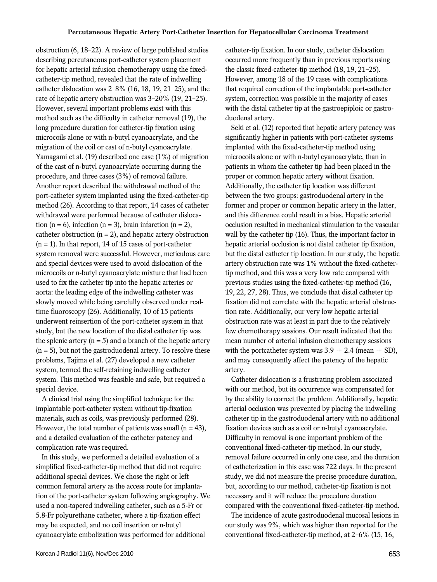obstruction (6, 18-22). A review of large published studies describing percutaneous port-catheter system placement for hepatic arterial infusion chemotherapy using the fixedcatheter-tip method, revealed that the rate of indwelling catheter dislocation was 2-8% (16, 18, 19, 21-25), and the rate of hepatic artery obstruction was 3-20% (19, 21-25). However, several important problems exist with this method such as the difficulty in catheter removal (19), the long procedure duration for catheter-tip fixation using microcoils alone or with n-butyl cyanoacrylate, and the migration of the coil or cast of n-butyl cyanoacrylate. Yamagami et al. (19) described one case (1%) of migration of the cast of n-butyl cyanoacrylate occurring during the procedure, and three cases (3%) of removal failure. Another report described the withdrawal method of the port-catheter system implanted using the fixed-catheter-tip method (26). According to that report, 14 cases of catheter withdrawal were performed because of catheter dislocation (n = 6), infection (n = 3), brain infarction (n = 2), catheter obstruction  $(n = 2)$ , and hepatic artery obstruction  $(n = 1)$ . In that report, 14 of 15 cases of port-catheter system removal were successful. However, meticulous care and special devices were used to avoid dislocation of the microcoils or n-butyl cyanoacrylate mixture that had been used to fix the catheter tip into the hepatic arteries or aorta: the leading edge of the indwelling catheter was slowly moved while being carefully observed under realtime fluoroscopy (26). Additionally, 10 of 15 patients underwent reinsertion of the port-catheter system in that study, but the new location of the distal catheter tip was the splenic artery  $(n = 5)$  and a branch of the hepatic artery  $(n = 5)$ , but not the gastroduodenal artery. To resolve these problems, Tajima et al. (27) developed a new catheter system, termed the self-retaining indwelling catheter system. This method was feasible and safe, but required a special device.

A clinical trial using the simplified technique for the implantable port-catheter system without tip-fixation materials, such as coils, was previously performed (28). However, the total number of patients was small  $(n = 43)$ , and a detailed evaluation of the catheter patency and complication rate was required.

In this study, we performed a detailed evaluation of a simplified fixed-catheter-tip method that did not require additional special devices. We chose the right or left common femoral artery as the access route for implantation of the port-catheter system following angiography. We used a non-tapered indwelling catheter, such as a 5-Fr or 5.8-Fr polyurethane catheter, where a tip-fixation effect may be expected, and no coil insertion or n-butyl cyanoacrylate embolization was performed for additional

catheter-tip fixation. In our study, catheter dislocation occurred more frequently than in previous reports using the classic fixed-catheter-tip method (18, 19, 21-25). However, among 18 of the 19 cases with complications that required correction of the implantable port-catheter system, correction was possible in the majority of cases with the distal catheter tip at the gastroepiploic or gastroduodenal artery.

Seki et al. (12) reported that hepatic artery patency was significantly higher in patients with port-catheter systems implanted with the fixed-catheter-tip method using microcoils alone or with n-butyl cyanoacrylate, than in patients in whom the catheter tip had been placed in the proper or common hepatic artery without fixation. Additionally, the catheter tip location was different between the two groups: gastroduodenal artery in the former and proper or common hepatic artery in the latter, and this difference could result in a bias. Hepatic arterial occlusion resulted in mechanical stimulation to the vascular wall by the catheter tip (16). Thus, the important factor in hepatic arterial occlusion is not distal catheter tip fixation, but the distal catheter tip location. In our study, the hepatic artery obstruction rate was 1% without the fixed-cathetertip method, and this was a very low rate compared with previous studies using the fixed-catheter-tip method (16, 19, 22, 27, 28). Thus, we conclude that distal catheter tip fixation did not correlate with the hepatic arterial obstruction rate. Additionally, our very low hepatic arterial obstruction rate was at least in part due to the relatively few chemotherapy sessions. Our result indicated that the mean number of arterial infusion chemotherapy sessions with the portcatheter system was  $3.9 \pm 2.4$  (mean  $\pm$  SD), and may consequently affect the patency of the hepatic artery.

Catheter dislocation is a frustrating problem associated with our method, but its occurrence was compensated for by the ability to correct the problem. Additionally, hepatic arterial occlusion was prevented by placing the indwelling catheter tip in the gastroduodenal artery with no additional fixation devices such as a coil or n-butyl cyanoacrylate. Difficulty in removal is one important problem of the conventional fixed-catheter-tip method. In our study, removal failure occurred in only one case, and the duration of catheterization in this case was 722 days. In the present study, we did not measure the precise procedure duration, but, according to our method, catheter-tip fixation is not necessary and it will reduce the procedure duration compared with the conventional fixed-catheter-tip method.

The incidence of acute gastroduodenal mucosal lesions in our study was 9%, which was higher than reported for the conventional fixed-catheter-tip method, at 2-6% (15, 16,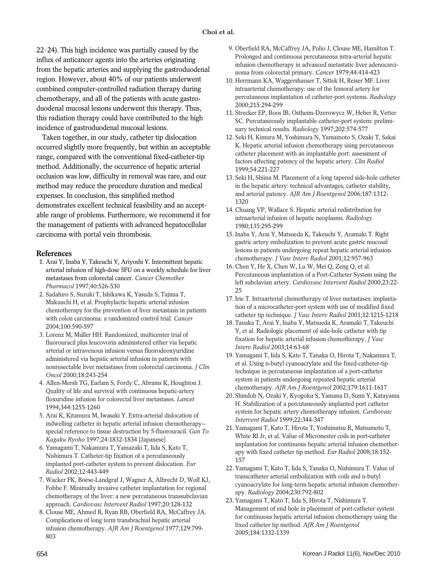22-24). This high incidence was partially caused by the influx of anticancer agents into the arteries originating from the hepatic arteries and supplying the gastroduodenal region. However, about 40% of our patients underwent combined computer-controlled radiation therapy during chemotherapy, and all of the patients with acute gastroduodenal mucosal lesions underwent this therapy. Thus, this radiation therapy could have contributed to the high incidence of gastroduodenal mucosal lesions.

Taken together, in our study, catheter tip dislocation occurred slightly more frequently, but within an acceptable range, compared with the conventional fixed-catheter-tip method. Additionally, the occurrence of hepatic arterial occlusion was low, difficulty in removal was rare, and our method may reduce the procedure duration and medical expenses. In conclusion, this simplified method demonstrates excellent technical feasibility and an acceptable range of problems. Furthermore, we recommend it for the management of patients with advanced hepatocellular carcinoma with portal vein thrombosis.

#### **References**

- 1. Arai Y, Inaba Y, Takeuchi Y, Ariyoshi Y. Intermittent hepatic arterial infusion of high-dose 5FU on a weekly schedule for liver metastases from colorectal cancer. *Cancer Chemother Pharmacol* 1997;40:526-530
- 2. Sadahiro S, Suzuki T, Ishikawa K, Yasuda S, Tajima T, Makuuchi H, et al. Prophylactic hepatic arterial infusion chemotherapy for the prevention of liver metastasis in patients with colon carcinoma: a randomized control trial. *Cancer* 2004;100:590-597
- 3. Lorenz M, Müller HH. Randomized, multicenter trial of fluorouracil plus leucovorin administered either via hepatic arterial or intravenous infusion versus fluorodeoxyuridine administered via hepatic arterial infusion in patients with nonresectable liver metastases from colorectal carcinoma. *J Clin Oncol* 2000;18:243-254
- 4. Allen-Mersh TG, Earlam S, Fordy C, Abrams K, Houghton J. Quality of life and survival with continuous hepatic-artery floxuridine infusion for colorectal liver metastases. *Lancet* 1994;344:1255-1260
- 5. Arai K, Kitamura M, Iwasaki Y. Extra-arterial dislocation of indwelling catheter in hepatic arterial infusion chemotherapy- special reference to tissue destruction by 5-fluorouracil. *Gan To Kagaku Ryoho* 1997;24:1832-1834 [Japanese]
- 6. Yamagami T, Nakamura T, Yamazaki T, Iida S, Kato T, Nishimura T. Catheter-tip fixation of a percutaneously implanted port-catheter system to prevent dislocation. *Eur Radiol* 2002;12:443-449
- 7. Wacker FK, Boese-Landgraf J, Wagner A, Albrecht D, Wolf KJ, Fobbe F. Minimally invasive catheter implantation for regional chemotherapy of the liver: a new percutaneous transsubclavian approach. *Cardiovasc Intervent Radiol* 1997;20:128-132
- 8. Clouse ME, Ahmed R, Ryan RB, Oberfield RA, McCaffrey JA. Complications of long term transbrachial hepatic arterial infusion chemotherapy. *AJR Am J Roentgenol* 1977;129:799- 803
- 9. Oberfield RA, McCaffrey JA, Polio J, Clouse ME, Hamilton T. Prolonged and continuous percutaneous intra-arterial hepatic infusion chemotherapy in advanced metastatic liver adenocarcinoma from colorectal primary. *Cancer* 1979;44:414-423
- 10. Herrmann KA, Waggershauser T, Sittek H, Reiser MF. Liver intraarterial chemotherapy: use of the femoral artery for percutaneous implantation of catheter-port systems. *Radiology* 2000;215:294-299
- 11. Strecker EP, Boos IB, Ostheim-Dzerowycz W, Heber R, Vetter SC. Percutaneously implantable catheter-port system: preliminary technical results. *Radiology* 1997;202:574-577
- 12. Seki H, Kimura M, Yoshimura N, Yamamoto S, Ozaki T, Sakai K. Hepatic arterial infusion chemotherapy using percutaneous catheter placement with an implantable port: assessment of factors affecting patency of the hepatic artery. *Clin Radiol* 1999;54:221-227
- 13. Seki H, Shiina M. Placement of a long tapered side-hole catheter in the hepatic artery: technical advantages, catheter stability, and arterial patency. *AJR Am J Roentgenol* 2006;187:1312- 1320
- 14. Chuang VP, Wallace S. Hepatic arterial redistribution for intraarterial infusion of hepatic neoplasms. *Radiology* 1980;135:295-299
- 15. Inaba Y, Arai Y, Matsueda K, Takeuchi Y, Aramaki T. Right gastric artery embolization to prevent acute gastric mucosal lesions in patients undergoing repeat hepatic arterial infusion chemotherapy. *J Vasc Interv Radiol* 2001;12:957-963
- 16. Chen Y, He X, Chen W, Lu W, Mei Q, Zeng Q, et al. Percutaneous implantation of a Port-Catheter System using the left subclavian artery. *Cardiovasc Intervent Radiol* 2000;23:22- 25
- 17. Irie T. Intraarterial chemotherapy of liver metastases: implantation of a microcatheter-port system with use of modified fixed catheter tip technique. *J Vasc Interv Radiol* 2001;12:1215-1218
- 18. Tanaka T, Arai Y, Inaba Y, Matsueda K, Aramaki T, Takeuchi Y, et al. Radiologic placement of side-hole catheter with tip fixation for hepatic arterial infusion chemotherapy. *J Vasc Interv Radiol* 2003;14:63-68
- 19. Yamagami T, Iida S, Kato T, Tanaka O, Hirota T, Nakamura T, et al. Using n-butyl cyanoacrylate and the fixed-catheter-tip technique in percutaneous implantation of a port-catheter system in patients undergoing repeated hepatic arterial chemotherapy. *AJR Am J Roentgenol* 2002;179:1611-1617
- 20. Shindoh N, Ozaki Y, Kyogoku S, Yamana D, Sumi Y, Katayama H. Stabilization of a percutaneously implanted port catheter system for hepatic artery chemotherapy infusion. *Cardiovasc Intervent Radiol* 1999;22:344-347
- 21. Yamagami T, Kato T, Hirota T, Yoshimatsu R, Matsumoto T, White RI Jr, et al. Value of Micronester coils in port-catheter implantation for continuous hepatic arterial infusion chemotherapy with fixed catheter tip method. *Eur Radiol* 2008;18:152- 157
- 22. Yamagami T, Kato T, Iida S, Tanaka O, Nishimura T. Value of transcatheter arterial embolization with coils and n-butyl cyanoacrylate for long-term hepatic arterial infusion chemotherapy. *Radiology* 2004;230:792-802
- 23. Yamagami T, Kato T, Iida S, Hirota T, Nishimura T. Management of end hole in placement of port-catheter system for continuous hepatic arterial infusion chemotherapy using the fixed catheter tip method. *AJR Am J Roentgenol* 2005;184:1332-1339